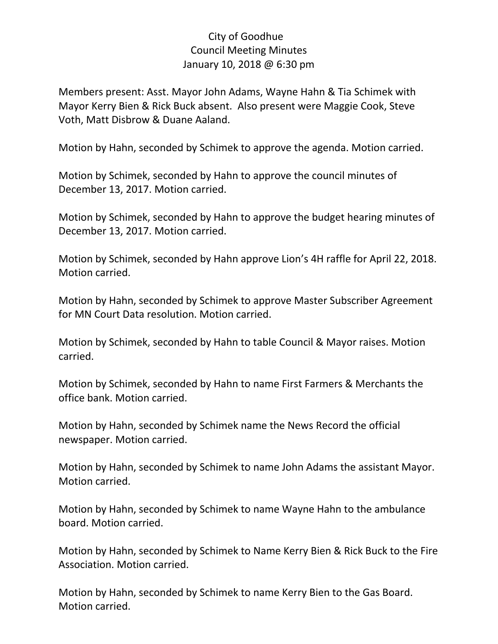## City of Goodhue Council Meeting Minutes January 10, 2018 @ 6:30 pm

Members present: Asst. Mayor John Adams, Wayne Hahn & Tia Schimek with Mayor Kerry Bien & Rick Buck absent. Also present were Maggie Cook, Steve Voth, Matt Disbrow & Duane Aaland.

Motion by Hahn, seconded by Schimek to approve the agenda. Motion carried.

Motion by Schimek, seconded by Hahn to approve the council minutes of December 13, 2017. Motion carried.

Motion by Schimek, seconded by Hahn to approve the budget hearing minutes of December 13, 2017. Motion carried.

Motion by Schimek, seconded by Hahn approve Lion's 4H raffle for April 22, 2018. Motion carried.

Motion by Hahn, seconded by Schimek to approve Master Subscriber Agreement for MN Court Data resolution. Motion carried.

Motion by Schimek, seconded by Hahn to table Council & Mayor raises. Motion carried.

Motion by Schimek, seconded by Hahn to name First Farmers & Merchants the office bank. Motion carried.

Motion by Hahn, seconded by Schimek name the News Record the official newspaper. Motion carried.

Motion by Hahn, seconded by Schimek to name John Adams the assistant Mayor. Motion carried.

Motion by Hahn, seconded by Schimek to name Wayne Hahn to the ambulance board. Motion carried.

Motion by Hahn, seconded by Schimek to Name Kerry Bien & Rick Buck to the Fire Association. Motion carried.

Motion by Hahn, seconded by Schimek to name Kerry Bien to the Gas Board. Motion carried.